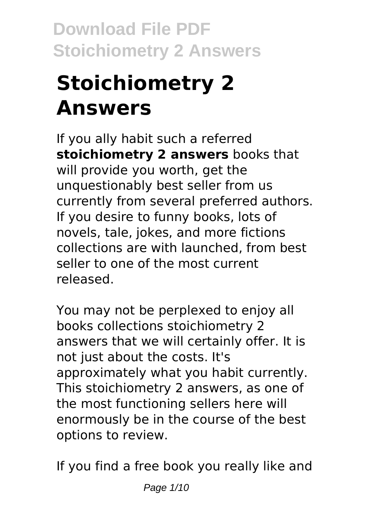# **Stoichiometry 2 Answers**

If you ally habit such a referred **stoichiometry 2 answers** books that will provide you worth, get the unquestionably best seller from us currently from several preferred authors. If you desire to funny books, lots of novels, tale, jokes, and more fictions collections are with launched, from best seller to one of the most current released.

You may not be perplexed to enjoy all books collections stoichiometry 2 answers that we will certainly offer. It is not just about the costs. It's approximately what you habit currently. This stoichiometry 2 answers, as one of the most functioning sellers here will enormously be in the course of the best options to review.

If you find a free book you really like and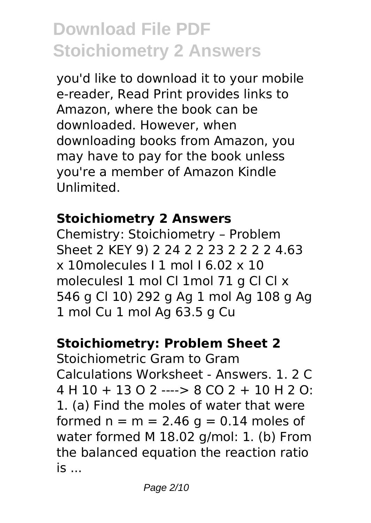you'd like to download it to your mobile e-reader, Read Print provides links to Amazon, where the book can be downloaded. However, when downloading books from Amazon, you may have to pay for the book unless you're a member of Amazon Kindle Unlimited.

#### **Stoichiometry 2 Answers**

Chemistry: Stoichiometry – Problem Sheet 2 KEY 9) 2 24 2 2 23 2 2 2 2 4.63  $x$  10 molecules  $11$  mol  $16.02$   $x$  10 moleculesI 1 mol Cl 1mol 71 g Cl Cl x 546 g Cl 10) 292 g Ag 1 mol Ag 108 g Ag 1 mol Cu 1 mol Ag 63.5 g Cu

#### **Stoichiometry: Problem Sheet 2**

Stoichiometric Gram to Gram Calculations Worksheet - Answers. 1. 2 C 4 H 10 + 13 O 2 ----> 8 CO 2 + 10 H 2 O: 1. (a) Find the moles of water that were formed  $n = m = 2.46$  g = 0.14 moles of water formed M 18.02 g/mol: 1. (b) From the balanced equation the reaction ratio is ...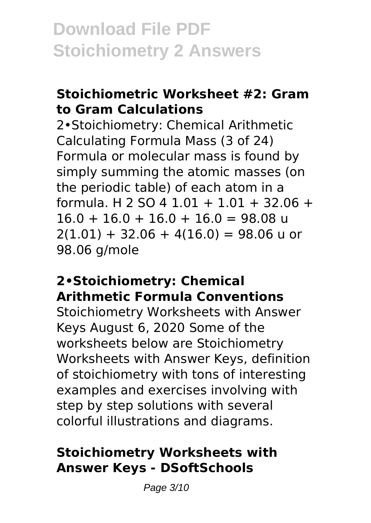#### **Stoichiometric Worksheet #2: Gram to Gram Calculations**

2•Stoichiometry: Chemical Arithmetic Calculating Formula Mass (3 of 24) Formula or molecular mass is found by simply summing the atomic masses (on the periodic table) of each atom in a formula. H 2 SO 4 1.01 + 1.01 + 32.06 +  $16.0 + 16.0 + 16.0 + 16.0 = 98.08$  u  $2(1.01) + 32.06 + 4(16.0) = 98.06$  u or 98.06 g/mole

#### **2•Stoichiometry: Chemical Arithmetic Formula Conventions**

Stoichiometry Worksheets with Answer Keys August 6, 2020 Some of the worksheets below are Stoichiometry Worksheets with Answer Keys, definition of stoichiometry with tons of interesting examples and exercises involving with step by step solutions with several colorful illustrations and diagrams.

### **Stoichiometry Worksheets with Answer Keys - DSoftSchools**

Page 3/10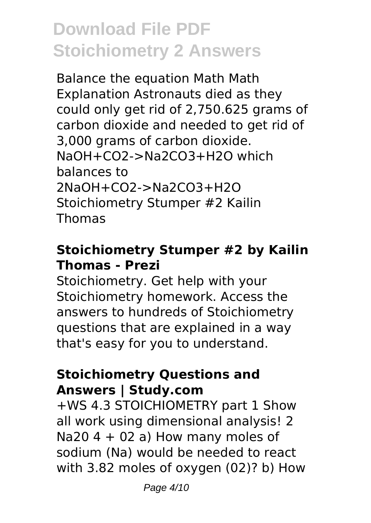Balance the equation Math Math Explanation Astronauts died as they could only get rid of 2,750.625 grams of carbon dioxide and needed to get rid of 3,000 grams of carbon dioxide. NaOH+CO2->Na2CO3+H2O which balances to 2NaOH+CO2->Na2CO3+H2O Stoichiometry Stumper #2 Kailin Thomas

### **Stoichiometry Stumper #2 by Kailin Thomas - Prezi**

Stoichiometry. Get help with your Stoichiometry homework. Access the answers to hundreds of Stoichiometry questions that are explained in a way that's easy for you to understand.

#### **Stoichiometry Questions and Answers | Study.com**

+WS 4.3 STOICHIOMETRY part 1 Show all work using dimensional analysis! 2 Na20  $4 + 02$  a) How many moles of sodium (Na) would be needed to react with 3.82 moles of oxygen (02)? b) How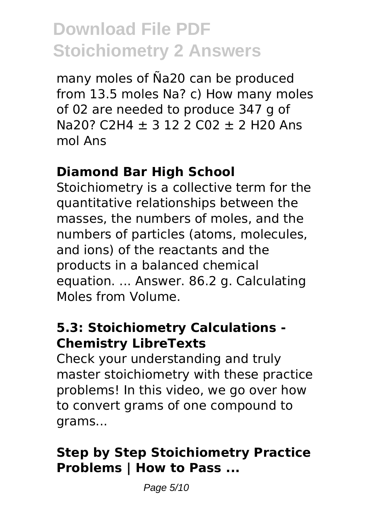many moles of Ña20 can be produced from 13.5 moles Na? c) How many moles of 02 are needed to produce 347 g of Na20? C2H4  $\pm$  3 12 2 C02  $\pm$  2 H20 Ans mol Ans

### **Diamond Bar High School**

Stoichiometry is a collective term for the quantitative relationships between the masses, the numbers of moles, and the numbers of particles (atoms, molecules, and ions) of the reactants and the products in a balanced chemical equation. ... Answer. 86.2 g. Calculating Moles from Volume.

#### **5.3: Stoichiometry Calculations - Chemistry LibreTexts**

Check your understanding and truly master stoichiometry with these practice problems! In this video, we go over how to convert grams of one compound to grams...

## **Step by Step Stoichiometry Practice Problems | How to Pass ...**

Page 5/10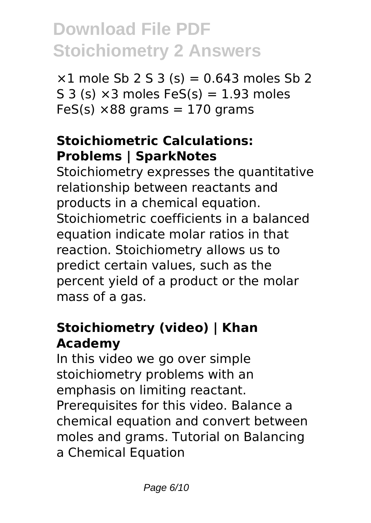$×1$  mole Sb 2 S 3 (s) = 0.643 moles Sb 2 S 3 (s)  $\times$ 3 moles FeS(s) = 1.93 moles  $FeS(s) \times 88$  grams = 170 grams

## **Stoichiometric Calculations: Problems | SparkNotes**

Stoichiometry expresses the quantitative relationship between reactants and products in a chemical equation. Stoichiometric coefficients in a balanced equation indicate molar ratios in that reaction. Stoichiometry allows us to predict certain values, such as the percent yield of a product or the molar mass of a gas.

## **Stoichiometry (video) | Khan Academy**

In this video we go over simple stoichiometry problems with an emphasis on limiting reactant. Prerequisites for this video. Balance a chemical equation and convert between moles and grams. Tutorial on Balancing a Chemical Equation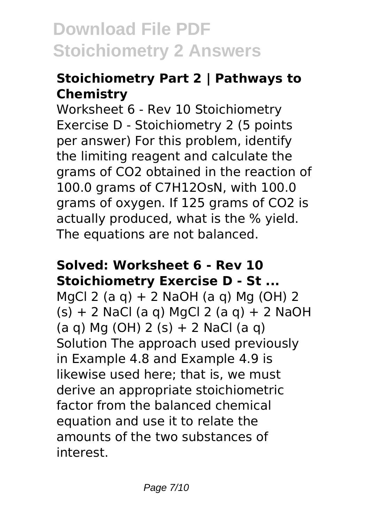## **Stoichiometry Part 2 | Pathways to Chemistry**

Worksheet 6 - Rev 10 Stoichiometry Exercise D - Stoichiometry 2 (5 points per answer) For this problem, identify the limiting reagent and calculate the grams of CO2 obtained in the reaction of 100.0 grams of C7H12OsN, with 100.0 grams of oxygen. If 125 grams of CO2 is actually produced, what is the % yield. The equations are not balanced.

#### **Solved: Worksheet 6 - Rev 10 Stoichiometry Exercise D - St ...**

MgCl 2 (a q) + 2 NaOH (a q) Mg (OH) 2  $(s) + 2$  NaCl (a g) MgCl 2 (a g) + 2 NaOH  $(a q)$  Mg (OH) 2 (s) + 2 NaCl (a g) Solution The approach used previously in Example 4.8 and Example 4.9 is likewise used here; that is, we must derive an appropriate stoichiometric factor from the balanced chemical equation and use it to relate the amounts of the two substances of interest.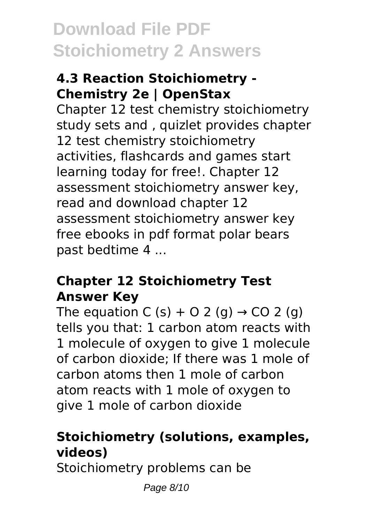### **4.3 Reaction Stoichiometry - Chemistry 2e | OpenStax**

Chapter 12 test chemistry stoichiometry study sets and , quizlet provides chapter 12 test chemistry stoichiometry activities, flashcards and games start learning today for free!. Chapter 12 assessment stoichiometry answer key, read and download chapter 12 assessment stoichiometry answer key free ebooks in pdf format polar bears past bedtime 4 ...

#### **Chapter 12 Stoichiometry Test Answer Key**

The equation C (s) + O 2 (g)  $\rightarrow$  CO 2 (g) tells you that: 1 carbon atom reacts with 1 molecule of oxygen to give 1 molecule of carbon dioxide; If there was 1 mole of carbon atoms then 1 mole of carbon atom reacts with 1 mole of oxygen to give 1 mole of carbon dioxide

# **Stoichiometry (solutions, examples, videos)**

Stoichiometry problems can be

Page 8/10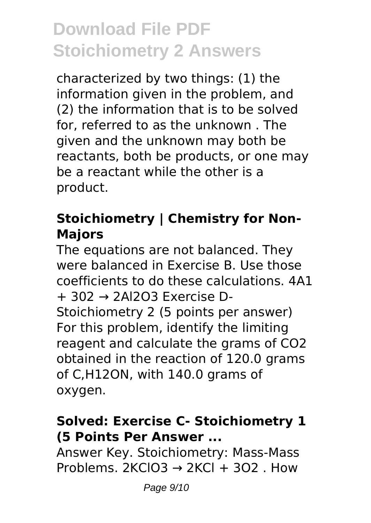characterized by two things: (1) the information given in the problem, and (2) the information that is to be solved for, referred to as the unknown . The given and the unknown may both be reactants, both be products, or one may be a reactant while the other is a product.

### **Stoichiometry | Chemistry for Non-Majors**

The equations are not balanced. They were balanced in Exercise B. Use those coefficients to do these calculations. 4A1 + 302 → 2Al2O3 Exercise D-Stoichiometry 2 (5 points per answer) For this problem, identify the limiting reagent and calculate the grams of CO2 obtained in the reaction of 120.0 grams of C,H12ON, with 140.0 grams of oxygen.

### **Solved: Exercise C- Stoichiometry 1 (5 Points Per Answer ...**

Answer Key. Stoichiometry: Mass-Mass Problems.  $2KClO3 \rightarrow 2KCl + 3O2$ . How